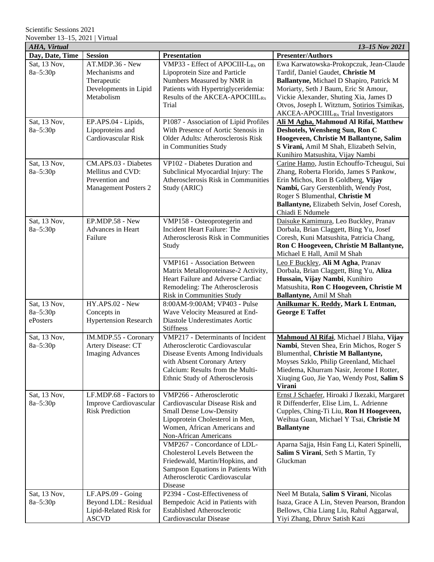Scientific Sessions 2021 November 13–15, 2021 | Virtual

| AHA, Virtual<br>13-15 Nov 2021 |                              |                                              |                                                                        |
|--------------------------------|------------------------------|----------------------------------------------|------------------------------------------------------------------------|
| Day, Date, Time                | <b>Session</b>               | <b>Presentation</b>                          | <b>Presenter/Authors</b>                                               |
| Sat, 13 Nov,                   | AT.MDP.36 - New              | VMP33 - Effect of APOCIII-L <sub>Rx</sub> on | Ewa Karwatowska-Prokopczuk, Jean-Claude                                |
| 8a-5:30p                       | Mechanisms and               | Lipoprotein Size and Particle                | Tardif, Daniel Gaudet, Christie M                                      |
|                                | Therapeutic                  | Numbers Measured by NMR in                   | Ballantyne, Michael D Shapiro, Patrick M                               |
|                                | Developments in Lipid        | Patients with Hypertriglyceridemia:          | Moriarty, Seth J Baum, Eric St Amour,                                  |
|                                | Metabolism                   | Results of the AKCEA-APOCIIIL <sub>Rx</sub>  | Vickie Alexander, Shuting Xia, James D                                 |
|                                |                              | Trial                                        | Otvos, Joseph L Witztum, Sotirios Tsimikas,                            |
|                                |                              |                                              | AKCEA-APOCIIIL <sub>Rx</sub> Trial Investigators                       |
| Sat, 13 Nov,                   | EP.APS.04 - Lipids,          | P1087 - Association of Lipid Profiles        | Ali M Agha, Mahmoud Al Rifai, Matthew                                  |
| 8a-5:30p                       | Lipoproteins and             | With Presence of Aortic Stenosis in          | Deshotels, Wensheng Sun, Ron C                                         |
|                                | Cardiovascular Risk          | Older Adults: Atherosclerosis Risk           | Hoogeveen, Christie M Ballantyne, Salim                                |
|                                |                              | in Communities Study                         | S Virani, Amil M Shah, Elizabeth Selvin,                               |
|                                |                              |                                              | Kunihiro Matsushita, Vijay Nambi                                       |
| Sat, 13 Nov,                   | CM.APS.03 - Diabetes         | VP102 - Diabetes Duration and                | Carine Hamo, Justin Echouffo-Tcheugui, Sui                             |
| 8a-5:30p                       | Mellitus and CVD:            | Subclinical Myocardial Injury: The           | Zhang, Roberta Florido, James S Pankow,                                |
|                                | Prevention and               | Atherosclerosis Risk in Communities          | Erin Michos, Ron B Goldberg, Vijay                                     |
|                                | <b>Management Posters 2</b>  | Study (ARIC)                                 | Nambi, Gary Gerstenblith, Wendy Post,                                  |
|                                |                              |                                              | Roger S Blumenthal, Christie M                                         |
|                                |                              |                                              | Ballantyne, Elizabeth Selvin, Josef Coresh,                            |
|                                |                              |                                              | Chiadi E Ndumele                                                       |
| Sat, 13 Nov,                   | EP.MDP.58 - New              | VMP158 - Osteoprotegerin and                 | Daisuke Kamimura, Leo Buckley, Pranav                                  |
| 8a-5:30p                       | Advances in Heart            | Incident Heart Failure: The                  | Dorbala, Brian Claggett, Bing Yu, Josef                                |
|                                | Failure                      | Atherosclerosis Risk in Communities          | Coresh, Kuni Matsushita, Patricia Chang,                               |
|                                |                              | Study                                        | Ron C Hoogeveen, Christie M Ballantyne,<br>Michael E Hall, Amil M Shah |
|                                |                              | <b>VMP161 - Association Between</b>          | Leo F Buckley, Ali M Agha, Pranav                                      |
|                                |                              | Matrix Metalloproteinase-2 Activity,         | Dorbala, Brian Claggett, Bing Yu, Aliza                                |
|                                |                              | Heart Failure and Adverse Cardiac            | Hussain, Vijay Nambi, Kunihiro                                         |
|                                |                              | Remodeling: The Atherosclerosis              | Matsushita, Ron C Hoogeveen, Christie M                                |
|                                |                              | Risk in Communities Study                    | Ballantyne, Amil M Shah                                                |
| Sat, 13 Nov,                   | HY.APS.02 - New              | 8:00AM-9:00AM; VP403 - Pulse                 | Anilkumar K. Reddy, Mark L Entman,                                     |
| 8a-5:30p                       | Concepts in                  | Wave Velocity Measured at End-               | <b>George E Taffet</b>                                                 |
| ePosters                       | <b>Hypertension Research</b> | Diastole Underestimates Aortic               |                                                                        |
|                                |                              | <b>Stiffness</b>                             |                                                                        |
| Sat, 13 Nov,                   | IM.MDP.55 - Coronary         | VMP217 - Determinants of Incident            | Mahmoud Al Rifai, Michael J Blaha, Vijay                               |
| 8a-5:30p                       | Artery Disease: CT           | Atherosclerotic Cardiovascular               | Nambi, Steven Shea, Erin Michos, Roger S                               |
|                                | <b>Imaging Advances</b>      | Disease Events Among Individuals             | Blumenthal, Christie M Ballantyne,                                     |
|                                |                              | with Absent Coronary Artery                  | Moyses Szklo, Philip Greenland, Michael                                |
|                                |                              | Calcium: Results from the Multi-             | Miedema, Khurram Nasir, Jerome I Rotter,                               |
|                                |                              | Ethnic Study of Atherosclerosis              | Xiuqing Guo, Jie Yao, Wendy Post, Salim S                              |
|                                |                              |                                              | <b>Virani</b>                                                          |
| Sat, 13 Nov,                   | LF.MDP.68 - Factors to       | VMP266 - Atherosclerotic                     | Ernst J Schaefer, Hiroaki J Ikezaki, Margaret                          |
| 8a-5:30p                       | Improve Cardiovascular       | Cardiovascular Disease Risk and              | R Diffenderfer, Elise Lim, L. Adrienne                                 |
|                                | <b>Risk Prediction</b>       | <b>Small Dense Low-Density</b>               | Cupples, Ching-Ti Liu, Ron H Hoogeveen,                                |
|                                |                              | Lipoprotein Cholesterol in Men,              | Weihua Guan, Michael Y Tsai, Christie M                                |
|                                |                              | Women, African Americans and                 | <b>Ballantyne</b>                                                      |
|                                |                              | Non-African Americans                        |                                                                        |
|                                |                              | VMP267 - Concordance of LDL-                 | Aparna Sajja, Hsin Fang Li, Kateri Spinelli,                           |
|                                |                              | Cholesterol Levels Between the               | Salim S Virani, Seth S Martin, Ty                                      |
|                                |                              | Friedewald, Martin/Hopkins, and              | Gluckman                                                               |
|                                |                              | Sampson Equations in Patients With           |                                                                        |
|                                |                              | Atherosclerotic Cardiovascular               |                                                                        |
|                                |                              | Disease                                      |                                                                        |
| Sat, 13 Nov,                   | LF.APS.09 - Going            | P2394 - Cost-Effectiveness of                | Neel M Butala, Salim S Virani, Nicolas                                 |
| 8a-5:30p                       | Beyond LDL: Residual         | Bempedoic Acid in Patients with              | Isaza, Grace A Lin, Steven Pearson, Brandon                            |
|                                | Lipid-Related Risk for       | <b>Established Atherosclerotic</b>           | Bellows, Chia Liang Liu, Rahul Aggarwal,                               |
|                                | <b>ASCVD</b>                 | Cardiovascular Disease                       | Yiyi Zhang, Dhruv Satish Kazi                                          |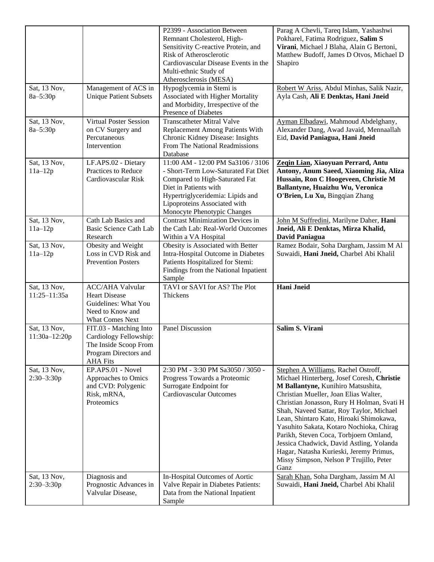|                                  |                                                                                                                       | P2399 - Association Between<br>Remnant Cholesterol, High-<br>Sensitivity C-reactive Protein, and<br><b>Risk of Atherosclerotic</b><br>Cardiovascular Disease Events in the<br>Multi-ethnic Study of<br>Atherosclerosis (MESA)          | Parag A Chevli, Tareq Islam, Yashashwi<br>Pokharel, Fatima Rodriguez, Salim S<br>Virani, Michael J Blaha, Alain G Bertoni,<br>Matthew Budoff, James D Otvos, Michael D<br>Shapiro                                                                                                                                                                                                                                                                                                                                                     |
|----------------------------------|-----------------------------------------------------------------------------------------------------------------------|----------------------------------------------------------------------------------------------------------------------------------------------------------------------------------------------------------------------------------------|---------------------------------------------------------------------------------------------------------------------------------------------------------------------------------------------------------------------------------------------------------------------------------------------------------------------------------------------------------------------------------------------------------------------------------------------------------------------------------------------------------------------------------------|
| Sat, 13 Nov,<br>8a-5:30p         | Management of ACS in<br><b>Unique Patient Subsets</b>                                                                 | Hypoglycemia in Stemi is<br>Associated with Higher Mortality<br>and Morbidity, Irrespective of the<br>Presence of Diabetes                                                                                                             | Robert W Ariss, Abdul Minhas, Salik Nazir,<br>Ayla Cash, Ali E Denktas, Hani Jneid                                                                                                                                                                                                                                                                                                                                                                                                                                                    |
| Sat, 13 Nov,<br>$8a - 5:30p$     | <b>Virtual Poster Session</b><br>on CV Surgery and<br>Percutaneous<br>Intervention                                    | <b>Transcatheter Mitral Valve</b><br>Replacement Among Patients With<br>Chronic Kidney Disease: Insights<br>From The National Readmissions<br>Database                                                                                 | Ayman Elbadawi, Mahmoud Abdelghany,<br>Alexander Dang, Awad Javaid, Mennaallah<br>Eid, David Paniagua, Hani Jneid                                                                                                                                                                                                                                                                                                                                                                                                                     |
| Sat, 13 Nov,<br>$11a-12p$        | LF.APS.02 - Dietary<br>Practices to Reduce<br>Cardiovascular Risk                                                     | 11:00 AM - 12:00 PM Sa3106 / 3106<br>- Short-Term Low-Saturated Fat Diet<br>Compared to High-Saturated Fat<br>Diet in Patients with<br>Hypertriglyceridemia: Lipids and<br>Lipoproteins Associated with<br>Monocyte Phenotypic Changes | Zegin Lian, Xiaoyuan Perrard, Antu<br>Antony, Anum Saeed, Xiaoming Jia, Aliza<br>Hussain, Ron C Hoogeveen, Christie M<br>Ballantyne, Huaizhu Wu, Veronica<br>O'Brien, Lu Xu, Bingqian Zhang                                                                                                                                                                                                                                                                                                                                           |
| Sat, 13 Nov,<br>$11a-12p$        | Cath Lab Basics and<br>Basic Science Cath Lab<br>Research                                                             | <b>Contrast Minimization Devices in</b><br>the Cath Lab: Real-World Outcomes<br>Within a VA Hospital                                                                                                                                   | John M Suffredini, Marilyne Daher, Hani<br>Jneid, Ali E Denktas, Mirza Khalid,<br>David Paniagua                                                                                                                                                                                                                                                                                                                                                                                                                                      |
| Sat, 13 Nov,<br>$11a-12p$        | Obesity and Weight<br>Loss in CVD Risk and<br><b>Prevention Posters</b>                                               | Obesity is Associated with Better<br>Intra-Hospital Outcome in Diabetes<br>Patients Hospitalized for Stemi:<br>Findings from the National Inpatient<br>Sample                                                                          | Ramez Bodair, Soha Dargham, Jassim M Al<br>Suwaidi, Hani Jneid, Charbel Abi Khalil                                                                                                                                                                                                                                                                                                                                                                                                                                                    |
| Sat, 13 Nov,<br>$11:25 - 11:35a$ | <b>ACC/AHA</b> Valvular<br><b>Heart Disease</b><br>Guidelines: What You<br>Need to Know and<br>What Comes Next        | TAVI or SAVI for AS? The Plot<br>Thickens                                                                                                                                                                                              | <b>Hani Jneid</b>                                                                                                                                                                                                                                                                                                                                                                                                                                                                                                                     |
| Sat, 13 Nov,<br>11:30a-12:20p    | FIT.03 - Matching Into<br>Cardiology Fellowship:<br>The Inside Scoop From<br>Program Directors and<br><b>AHA Fits</b> | Panel Discussion                                                                                                                                                                                                                       | Salim S. Virani                                                                                                                                                                                                                                                                                                                                                                                                                                                                                                                       |
| Sat, 13 Nov,<br>$2:30 - 3:30p$   | EP.APS.01 - Novel<br>Approaches to Omics<br>and CVD: Polygenic<br>Risk, mRNA,<br>Proteomics                           | 2:30 PM - 3:30 PM Sa3050 / 3050 -<br>Progress Towards a Proteomic<br>Surrogate Endpoint for<br>Cardiovascular Outcomes                                                                                                                 | Stephen A Williams, Rachel Ostroff,<br>Michael Hinterberg, Josef Coresh, Christie<br>M Ballantyne, Kunihiro Matsushita,<br>Christian Mueller, Joan Elias Walter,<br>Christian Jonasson, Rury H Holman, Svati H<br>Shah, Naveed Sattar, Roy Taylor, Michael<br>Lean, Shintaro Kato, Hiroaki Shimokawa,<br>Yasuhito Sakata, Kotaro Nochioka, Chirag<br>Parikh, Steven Coca, Torbjoern Omland,<br>Jessica Chadwick, David Astling, Yolanda<br>Hagar, Natasha Kurieski, Jeremy Primus,<br>Missy Simpson, Nelson P Trujillo, Peter<br>Ganz |
| Sat, 13 Nov,<br>$2:30-3:30p$     | Diagnosis and<br>Prognostic Advances in<br>Valvular Disease,                                                          | In-Hospital Outcomes of Aortic<br>Valve Repair in Diabetes Patients:<br>Data from the National Inpatient<br>Sample                                                                                                                     | Sarah Khan, Soha Dargham, Jassim M Al<br>Suwaidi, Hani Jneid, Charbel Abi Khalil                                                                                                                                                                                                                                                                                                                                                                                                                                                      |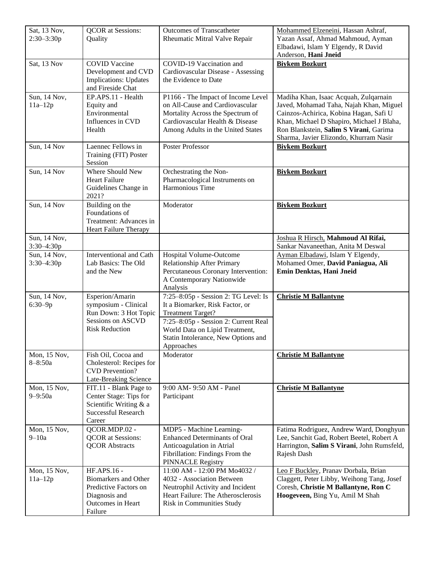| Sat, 13 Nov,<br>$2:30 - 3:30p$ | <b>QCOR</b> at Sessions:<br>Quality                                                                                   | <b>Outcomes of Transcatheter</b><br>Rheumatic Mitral Valve Repair                                                                                                                                                                  | Mohammed Elzeneini, Hassan Ashraf,<br>Yazan Assaf, Ahmad Mahmoud, Ayman<br>Elbadawi, Islam Y Elgendy, R David<br>Anderson, Hani Jneid                                                                                                                       |
|--------------------------------|-----------------------------------------------------------------------------------------------------------------------|------------------------------------------------------------------------------------------------------------------------------------------------------------------------------------------------------------------------------------|-------------------------------------------------------------------------------------------------------------------------------------------------------------------------------------------------------------------------------------------------------------|
| Sat, 13 Nov                    | <b>COVID Vaccine</b><br>Development and CVD<br><b>Implications: Updates</b><br>and Fireside Chat                      | COVID-19 Vaccination and<br>Cardiovascular Disease - Assessing<br>the Evidence to Date                                                                                                                                             | <b>Biykem Bozkurt</b>                                                                                                                                                                                                                                       |
| Sun, 14 Nov,<br>$11a-12p$      | EP.APS.11 - Health<br>Equity and<br>Environmental<br>Influences in CVD<br>Health                                      | P1166 - The Impact of Income Level<br>on All-Cause and Cardiovascular<br>Mortality Across the Spectrum of<br>Cardiovascular Health & Disease<br>Among Adults in the United States                                                  | Madiha Khan, Isaac Acquah, Zulqarnain<br>Javed, Mohamad Taha, Najah Khan, Miguel<br>Cainzos-Achirica, Kobina Hagan, Safi U<br>Khan, Michael D Shapiro, Michael J Blaha,<br>Ron Blankstein, Salim S Virani, Garima<br>Sharma, Javier Elizondo, Khurram Nasir |
| Sun, 14 Nov                    | Laennec Fellows in<br>Training (FIT) Poster<br>Session                                                                | Poster Professor                                                                                                                                                                                                                   | <b>Biykem Bozkurt</b>                                                                                                                                                                                                                                       |
| Sun, 14 Nov                    | Where Should New<br><b>Heart Failure</b><br>Guidelines Change in<br>2021?                                             | Orchestrating the Non-<br>Pharmacological Instruments on<br>Harmonious Time                                                                                                                                                        | <b>Biykem Bozkurt</b>                                                                                                                                                                                                                                       |
| Sun, 14 Nov                    | Building on the<br>Foundations of<br>Treatment: Advances in<br>Heart Failure Therapy                                  | Moderator                                                                                                                                                                                                                          | <b>Biykem Bozkurt</b>                                                                                                                                                                                                                                       |
| Sun, 14 Nov,<br>3:30-4:30p     |                                                                                                                       |                                                                                                                                                                                                                                    | Joshua R Hirsch, Mahmoud Al Rifai,<br>Sankar Navaneethan, Anita M Deswal                                                                                                                                                                                    |
| Sun, 14 Nov,<br>$3:30 - 4:30p$ | Interventional and Cath<br>Lab Basics: The Old<br>and the New                                                         | Hospital Volume-Outcome<br>Relationship After Primary<br>Percutaneous Coronary Intervention:<br>A Contemporary Nationwide<br>Analysis                                                                                              | Ayman Elbadawi, Islam Y Elgendy,<br>Mohamed Omer, David Paniagua, Ali<br>Emin Denktas, Hani Jneid                                                                                                                                                           |
| Sun, 14 Nov,<br>$6:30 - 9p$    | Esperion/Amarin<br>symposium - Clinical<br>Run Down: 3 Hot Topic<br>Sessions on ASCVD<br><b>Risk Reduction</b>        | 7:25-8:05p - Session 2: TG Level: Is<br>It a Biomarker, Risk Factor, or<br><b>Treatment Target?</b><br>7:25-8:05p - Session 2: Current Real<br>World Data on Lipid Treatment,<br>Statin Intolerance, New Options and<br>Approaches | <b>Christie M Ballantyne</b>                                                                                                                                                                                                                                |
| Mon, 15 Nov,<br>$8 - 8:50a$    | Fish Oil, Cocoa and<br>Cholesterol: Recipes for<br><b>CVD</b> Prevention?<br>Late-Breaking Science                    | Moderator                                                                                                                                                                                                                          | <b>Christie M Ballantyne</b>                                                                                                                                                                                                                                |
| Mon, 15 Nov,<br>$9 - 9:50a$    | FIT.11 - Blank Page to<br>Center Stage: Tips for<br>Scientific Writing & a<br><b>Successful Research</b><br>Career    | 9:00 AM- 9:50 AM - Panel<br>Participant                                                                                                                                                                                            | <b>Christie M Ballantyne</b>                                                                                                                                                                                                                                |
| Mon, 15 Nov,<br>$9 - 10a$      | QCOR.MDP.02 -<br><b>QCOR</b> at Sessions:<br><b>QCOR Abstracts</b>                                                    | MDP5 - Machine Learning-<br><b>Enhanced Determinants of Oral</b><br>Anticoagulation in Atrial<br>Fibrillation: Findings From the<br>PINNACLE Registry                                                                              | Fatima Rodriguez, Andrew Ward, Donghyun<br>Lee, Sanchit Gad, Robert Beetel, Robert A<br>Harrington, Salim S Virani, John Rumsfeld,<br>Rajesh Dash                                                                                                           |
| Mon, 15 Nov,<br>$11a-12p$      | $HFAPS.16 -$<br><b>Biomarkers and Other</b><br>Predictive Factors on<br>Diagnosis and<br>Outcomes in Heart<br>Failure | 11:00 AM - 12:00 PM Mo4032 /<br>4032 - Association Between<br>Neutrophil Activity and Incident<br>Heart Failure: The Atherosclerosis<br><b>Risk in Communities Study</b>                                                           | Leo F Buckley, Pranav Dorbala, Brian<br>Claggett, Peter Libby, Weihong Tang, Josef<br>Coresh, Christie M Ballantyne, Ron C<br>Hoogeveen, Bing Yu, Amil M Shah                                                                                               |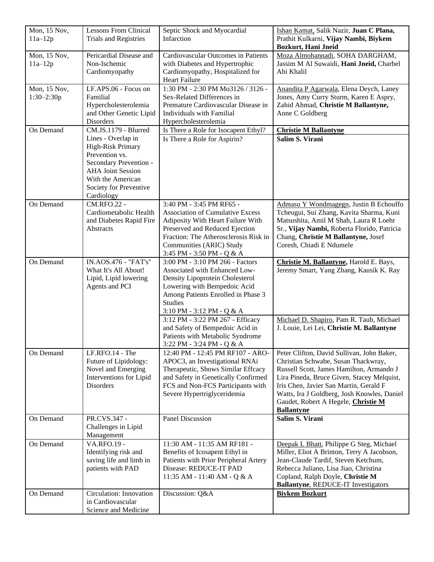| <b>Bozkurt, Hani Jneid</b><br>Pericardial Disease and<br>Mon, 15 Nov,<br>Cardiovascular Outcomes in Patients<br>Moza Almohannadi, SOHA DARGHAM,<br>$11a-12p$<br>Non-Ischemic<br>with Diabetes and Hypertrophic<br>Jassim M Al Suwaidi, Hani Jneid, Charbel<br>Cardiomyopathy<br>Cardiomyopathy, Hospitalized for<br>Abi Khalil<br>Heart Failure<br>1:30 PM - 2:30 PM Mo3126 / 3126 -<br>Mon, 15 Nov,<br>LF.APS.06 - Focus on<br>Anandita P Agarwala, Elena Deych, Laney<br>$1:30-2:30p$<br>Familial<br>Sex-Related Differences in<br>Jones, Amy Curry Sturm, Karen E Aspry,<br>Hypercholesterolemia<br>Premature Cardiovascular Disease in<br>Zahid Ahmad, Christie M Ballantyne,<br>and Other Genetic Lipid<br>Individuals with Familial<br>Anne C Goldberg<br>Disorders<br>Hypercholesterolemia<br>CM.JS.1179 - Blurred<br>On Demand<br>Is There a Role for Isocapent Ethyl?<br><b>Christie M Ballantyne</b><br>Salim S. Virani<br>Lines - Overlap in<br>Is There a Role for Aspirin?<br>High-Risk Primary<br>Prevention vs.<br>Secondary Prevention -<br><b>AHA Joint Session</b><br>With the American<br>Society for Preventive<br>Cardiology<br><b>CM.RFO.22 -</b><br>3:40 PM - 3:45 PM RF65 -<br>Admasu Y Wondmagegn, Justin B Echouffo<br>On Demand<br>Tcheugui, Sui Zhang, Kavita Sharma, Kuni<br>Cardiometabolic Health<br><b>Association of Cumulative Excess</b><br>and Diabetes Rapid Fire<br>Adiposity With Heart Failure With<br>Matsushita, Amil M Shah, Laura R Loehr<br>Preserved and Reduced Ejection<br>Sr., Vijay Nambi, Roberta Florido, Patricia<br>Abstracts<br>Fraction: The Atherosclerosis Risk in<br>Chang, Christie M Ballantyne, Josef<br>Communities (ARIC) Study<br>Coresh, Chiadi E Ndumele<br>3:45 PM - 3:50 PM - Q & A<br>IN.AOS.476 - "FAT's"<br>On Demand<br>3:00 PM - 3:10 PM 266 - Factors<br>Christie M. Ballantyne, Harold E. Bays,<br>What It's All About!<br>Associated with Enhanced Low-<br>Jeremy Smart, Yang Zhang, Kausik K. Ray<br>Lipid, Lipid lowering<br>Density Lipoprotein Cholesterol<br>Agents and PCI<br>Lowering with Bempedoic Acid<br>Among Patients Enrolled in Phase 3<br><b>Studies</b><br>$3:10$ PM - $3:12$ PM - Q & A<br>3:12 PM - 3:22 PM 267 - Efficacy<br>Michael D. Shapiro, Pam R. Taub, Michael<br>and Safety of Bempedoic Acid in<br>J. Louie, Lei Lei, Christie M. Ballantyne<br>Patients with Metabolic Syndrome<br>3:22 PM - 3:24 PM - Q & A<br>LF.RFO.14 - The<br>On Demand<br>Peter Clifton, David Sullivan, John Baker,<br>12:40 PM - 12:45 PM RF107 - ARO-<br>Future of Lipidology:<br>APOC3, an Investigational RNAi<br>Christian Schwabe, Susan Thackwray,<br>Novel and Emerging<br>Therapeutic, Shows Similar Effcacy<br>Russell Scott, James Hamilton, Armando J<br>Interventions for Lipid<br>and Safety in Genetically Confirmed<br>Lira Pineda, Bruce Given, Stacey Melquist,<br>FCS and Non-FCS Participants with<br>Disorders<br>Iris Chen, Javier San Martin, Gerald F<br>Severe Hypertriglyceridemia<br>Watts, Ira J Goldberg, Josh Knowles, Daniel<br>Gaudet, Robert A Hegele, Christie M<br><b>Ballantyne</b><br>Salim S. Virani<br>On Demand<br>PR.CVS.347 -<br><b>Panel Discussion</b><br>Challenges in Lipid<br>Management<br>On Demand<br><b>VA.RFO.19 -</b><br>11:30 AM - 11:35 AM RF181 -<br>Deepak L Bhatt, Philippe G Steg, Michael<br>Identifying risk and<br>Benefits of Icosapent Ethyl in<br>Miller, Eliot A Brinton, Terry A Jacobson, | Mon, 15 Nov, | <b>Lessons From Clinical</b> | Septic Shock and Myocardial           | Ishan Kamat, Salik Nazir, Juan C Plana, |
|-------------------------------------------------------------------------------------------------------------------------------------------------------------------------------------------------------------------------------------------------------------------------------------------------------------------------------------------------------------------------------------------------------------------------------------------------------------------------------------------------------------------------------------------------------------------------------------------------------------------------------------------------------------------------------------------------------------------------------------------------------------------------------------------------------------------------------------------------------------------------------------------------------------------------------------------------------------------------------------------------------------------------------------------------------------------------------------------------------------------------------------------------------------------------------------------------------------------------------------------------------------------------------------------------------------------------------------------------------------------------------------------------------------------------------------------------------------------------------------------------------------------------------------------------------------------------------------------------------------------------------------------------------------------------------------------------------------------------------------------------------------------------------------------------------------------------------------------------------------------------------------------------------------------------------------------------------------------------------------------------------------------------------------------------------------------------------------------------------------------------------------------------------------------------------------------------------------------------------------------------------------------------------------------------------------------------------------------------------------------------------------------------------------------------------------------------------------------------------------------------------------------------------------------------------------------------------------------------------------------------------------------------------------------------------------------------------------------------------------------------------------------------------------------------------------------------------------------------------------------------------------------------------------------------------------------------------------------------------------------------------------------------------------------------------------------------------------------------------------------------------------------------------------------------------------------------------------------------------------------------------------------------------------------------------------------------------------------------------------------------------------------------------------------------------------------------|--------------|------------------------------|---------------------------------------|-----------------------------------------|
|                                                                                                                                                                                                                                                                                                                                                                                                                                                                                                                                                                                                                                                                                                                                                                                                                                                                                                                                                                                                                                                                                                                                                                                                                                                                                                                                                                                                                                                                                                                                                                                                                                                                                                                                                                                                                                                                                                                                                                                                                                                                                                                                                                                                                                                                                                                                                                                                                                                                                                                                                                                                                                                                                                                                                                                                                                                                                                                                                                                                                                                                                                                                                                                                                                                                                                                                                                                                                                                 | $11a-12p$    | <b>Trials and Registries</b> | Infarction                            | Prathit Kulkarni, Vijay Nambi, Biykem   |
|                                                                                                                                                                                                                                                                                                                                                                                                                                                                                                                                                                                                                                                                                                                                                                                                                                                                                                                                                                                                                                                                                                                                                                                                                                                                                                                                                                                                                                                                                                                                                                                                                                                                                                                                                                                                                                                                                                                                                                                                                                                                                                                                                                                                                                                                                                                                                                                                                                                                                                                                                                                                                                                                                                                                                                                                                                                                                                                                                                                                                                                                                                                                                                                                                                                                                                                                                                                                                                                 |              |                              |                                       |                                         |
|                                                                                                                                                                                                                                                                                                                                                                                                                                                                                                                                                                                                                                                                                                                                                                                                                                                                                                                                                                                                                                                                                                                                                                                                                                                                                                                                                                                                                                                                                                                                                                                                                                                                                                                                                                                                                                                                                                                                                                                                                                                                                                                                                                                                                                                                                                                                                                                                                                                                                                                                                                                                                                                                                                                                                                                                                                                                                                                                                                                                                                                                                                                                                                                                                                                                                                                                                                                                                                                 |              |                              |                                       |                                         |
|                                                                                                                                                                                                                                                                                                                                                                                                                                                                                                                                                                                                                                                                                                                                                                                                                                                                                                                                                                                                                                                                                                                                                                                                                                                                                                                                                                                                                                                                                                                                                                                                                                                                                                                                                                                                                                                                                                                                                                                                                                                                                                                                                                                                                                                                                                                                                                                                                                                                                                                                                                                                                                                                                                                                                                                                                                                                                                                                                                                                                                                                                                                                                                                                                                                                                                                                                                                                                                                 |              |                              |                                       |                                         |
|                                                                                                                                                                                                                                                                                                                                                                                                                                                                                                                                                                                                                                                                                                                                                                                                                                                                                                                                                                                                                                                                                                                                                                                                                                                                                                                                                                                                                                                                                                                                                                                                                                                                                                                                                                                                                                                                                                                                                                                                                                                                                                                                                                                                                                                                                                                                                                                                                                                                                                                                                                                                                                                                                                                                                                                                                                                                                                                                                                                                                                                                                                                                                                                                                                                                                                                                                                                                                                                 |              |                              |                                       |                                         |
|                                                                                                                                                                                                                                                                                                                                                                                                                                                                                                                                                                                                                                                                                                                                                                                                                                                                                                                                                                                                                                                                                                                                                                                                                                                                                                                                                                                                                                                                                                                                                                                                                                                                                                                                                                                                                                                                                                                                                                                                                                                                                                                                                                                                                                                                                                                                                                                                                                                                                                                                                                                                                                                                                                                                                                                                                                                                                                                                                                                                                                                                                                                                                                                                                                                                                                                                                                                                                                                 |              |                              |                                       |                                         |
|                                                                                                                                                                                                                                                                                                                                                                                                                                                                                                                                                                                                                                                                                                                                                                                                                                                                                                                                                                                                                                                                                                                                                                                                                                                                                                                                                                                                                                                                                                                                                                                                                                                                                                                                                                                                                                                                                                                                                                                                                                                                                                                                                                                                                                                                                                                                                                                                                                                                                                                                                                                                                                                                                                                                                                                                                                                                                                                                                                                                                                                                                                                                                                                                                                                                                                                                                                                                                                                 |              |                              |                                       |                                         |
|                                                                                                                                                                                                                                                                                                                                                                                                                                                                                                                                                                                                                                                                                                                                                                                                                                                                                                                                                                                                                                                                                                                                                                                                                                                                                                                                                                                                                                                                                                                                                                                                                                                                                                                                                                                                                                                                                                                                                                                                                                                                                                                                                                                                                                                                                                                                                                                                                                                                                                                                                                                                                                                                                                                                                                                                                                                                                                                                                                                                                                                                                                                                                                                                                                                                                                                                                                                                                                                 |              |                              |                                       |                                         |
|                                                                                                                                                                                                                                                                                                                                                                                                                                                                                                                                                                                                                                                                                                                                                                                                                                                                                                                                                                                                                                                                                                                                                                                                                                                                                                                                                                                                                                                                                                                                                                                                                                                                                                                                                                                                                                                                                                                                                                                                                                                                                                                                                                                                                                                                                                                                                                                                                                                                                                                                                                                                                                                                                                                                                                                                                                                                                                                                                                                                                                                                                                                                                                                                                                                                                                                                                                                                                                                 |              |                              |                                       |                                         |
|                                                                                                                                                                                                                                                                                                                                                                                                                                                                                                                                                                                                                                                                                                                                                                                                                                                                                                                                                                                                                                                                                                                                                                                                                                                                                                                                                                                                                                                                                                                                                                                                                                                                                                                                                                                                                                                                                                                                                                                                                                                                                                                                                                                                                                                                                                                                                                                                                                                                                                                                                                                                                                                                                                                                                                                                                                                                                                                                                                                                                                                                                                                                                                                                                                                                                                                                                                                                                                                 |              |                              |                                       |                                         |
|                                                                                                                                                                                                                                                                                                                                                                                                                                                                                                                                                                                                                                                                                                                                                                                                                                                                                                                                                                                                                                                                                                                                                                                                                                                                                                                                                                                                                                                                                                                                                                                                                                                                                                                                                                                                                                                                                                                                                                                                                                                                                                                                                                                                                                                                                                                                                                                                                                                                                                                                                                                                                                                                                                                                                                                                                                                                                                                                                                                                                                                                                                                                                                                                                                                                                                                                                                                                                                                 |              |                              |                                       |                                         |
|                                                                                                                                                                                                                                                                                                                                                                                                                                                                                                                                                                                                                                                                                                                                                                                                                                                                                                                                                                                                                                                                                                                                                                                                                                                                                                                                                                                                                                                                                                                                                                                                                                                                                                                                                                                                                                                                                                                                                                                                                                                                                                                                                                                                                                                                                                                                                                                                                                                                                                                                                                                                                                                                                                                                                                                                                                                                                                                                                                                                                                                                                                                                                                                                                                                                                                                                                                                                                                                 |              |                              |                                       |                                         |
|                                                                                                                                                                                                                                                                                                                                                                                                                                                                                                                                                                                                                                                                                                                                                                                                                                                                                                                                                                                                                                                                                                                                                                                                                                                                                                                                                                                                                                                                                                                                                                                                                                                                                                                                                                                                                                                                                                                                                                                                                                                                                                                                                                                                                                                                                                                                                                                                                                                                                                                                                                                                                                                                                                                                                                                                                                                                                                                                                                                                                                                                                                                                                                                                                                                                                                                                                                                                                                                 |              |                              |                                       |                                         |
|                                                                                                                                                                                                                                                                                                                                                                                                                                                                                                                                                                                                                                                                                                                                                                                                                                                                                                                                                                                                                                                                                                                                                                                                                                                                                                                                                                                                                                                                                                                                                                                                                                                                                                                                                                                                                                                                                                                                                                                                                                                                                                                                                                                                                                                                                                                                                                                                                                                                                                                                                                                                                                                                                                                                                                                                                                                                                                                                                                                                                                                                                                                                                                                                                                                                                                                                                                                                                                                 |              |                              |                                       |                                         |
|                                                                                                                                                                                                                                                                                                                                                                                                                                                                                                                                                                                                                                                                                                                                                                                                                                                                                                                                                                                                                                                                                                                                                                                                                                                                                                                                                                                                                                                                                                                                                                                                                                                                                                                                                                                                                                                                                                                                                                                                                                                                                                                                                                                                                                                                                                                                                                                                                                                                                                                                                                                                                                                                                                                                                                                                                                                                                                                                                                                                                                                                                                                                                                                                                                                                                                                                                                                                                                                 |              |                              |                                       |                                         |
|                                                                                                                                                                                                                                                                                                                                                                                                                                                                                                                                                                                                                                                                                                                                                                                                                                                                                                                                                                                                                                                                                                                                                                                                                                                                                                                                                                                                                                                                                                                                                                                                                                                                                                                                                                                                                                                                                                                                                                                                                                                                                                                                                                                                                                                                                                                                                                                                                                                                                                                                                                                                                                                                                                                                                                                                                                                                                                                                                                                                                                                                                                                                                                                                                                                                                                                                                                                                                                                 |              |                              |                                       |                                         |
|                                                                                                                                                                                                                                                                                                                                                                                                                                                                                                                                                                                                                                                                                                                                                                                                                                                                                                                                                                                                                                                                                                                                                                                                                                                                                                                                                                                                                                                                                                                                                                                                                                                                                                                                                                                                                                                                                                                                                                                                                                                                                                                                                                                                                                                                                                                                                                                                                                                                                                                                                                                                                                                                                                                                                                                                                                                                                                                                                                                                                                                                                                                                                                                                                                                                                                                                                                                                                                                 |              |                              |                                       |                                         |
|                                                                                                                                                                                                                                                                                                                                                                                                                                                                                                                                                                                                                                                                                                                                                                                                                                                                                                                                                                                                                                                                                                                                                                                                                                                                                                                                                                                                                                                                                                                                                                                                                                                                                                                                                                                                                                                                                                                                                                                                                                                                                                                                                                                                                                                                                                                                                                                                                                                                                                                                                                                                                                                                                                                                                                                                                                                                                                                                                                                                                                                                                                                                                                                                                                                                                                                                                                                                                                                 |              |                              |                                       |                                         |
|                                                                                                                                                                                                                                                                                                                                                                                                                                                                                                                                                                                                                                                                                                                                                                                                                                                                                                                                                                                                                                                                                                                                                                                                                                                                                                                                                                                                                                                                                                                                                                                                                                                                                                                                                                                                                                                                                                                                                                                                                                                                                                                                                                                                                                                                                                                                                                                                                                                                                                                                                                                                                                                                                                                                                                                                                                                                                                                                                                                                                                                                                                                                                                                                                                                                                                                                                                                                                                                 |              |                              |                                       |                                         |
|                                                                                                                                                                                                                                                                                                                                                                                                                                                                                                                                                                                                                                                                                                                                                                                                                                                                                                                                                                                                                                                                                                                                                                                                                                                                                                                                                                                                                                                                                                                                                                                                                                                                                                                                                                                                                                                                                                                                                                                                                                                                                                                                                                                                                                                                                                                                                                                                                                                                                                                                                                                                                                                                                                                                                                                                                                                                                                                                                                                                                                                                                                                                                                                                                                                                                                                                                                                                                                                 |              |                              |                                       |                                         |
|                                                                                                                                                                                                                                                                                                                                                                                                                                                                                                                                                                                                                                                                                                                                                                                                                                                                                                                                                                                                                                                                                                                                                                                                                                                                                                                                                                                                                                                                                                                                                                                                                                                                                                                                                                                                                                                                                                                                                                                                                                                                                                                                                                                                                                                                                                                                                                                                                                                                                                                                                                                                                                                                                                                                                                                                                                                                                                                                                                                                                                                                                                                                                                                                                                                                                                                                                                                                                                                 |              |                              |                                       |                                         |
|                                                                                                                                                                                                                                                                                                                                                                                                                                                                                                                                                                                                                                                                                                                                                                                                                                                                                                                                                                                                                                                                                                                                                                                                                                                                                                                                                                                                                                                                                                                                                                                                                                                                                                                                                                                                                                                                                                                                                                                                                                                                                                                                                                                                                                                                                                                                                                                                                                                                                                                                                                                                                                                                                                                                                                                                                                                                                                                                                                                                                                                                                                                                                                                                                                                                                                                                                                                                                                                 |              |                              |                                       |                                         |
|                                                                                                                                                                                                                                                                                                                                                                                                                                                                                                                                                                                                                                                                                                                                                                                                                                                                                                                                                                                                                                                                                                                                                                                                                                                                                                                                                                                                                                                                                                                                                                                                                                                                                                                                                                                                                                                                                                                                                                                                                                                                                                                                                                                                                                                                                                                                                                                                                                                                                                                                                                                                                                                                                                                                                                                                                                                                                                                                                                                                                                                                                                                                                                                                                                                                                                                                                                                                                                                 |              |                              |                                       |                                         |
|                                                                                                                                                                                                                                                                                                                                                                                                                                                                                                                                                                                                                                                                                                                                                                                                                                                                                                                                                                                                                                                                                                                                                                                                                                                                                                                                                                                                                                                                                                                                                                                                                                                                                                                                                                                                                                                                                                                                                                                                                                                                                                                                                                                                                                                                                                                                                                                                                                                                                                                                                                                                                                                                                                                                                                                                                                                                                                                                                                                                                                                                                                                                                                                                                                                                                                                                                                                                                                                 |              |                              |                                       |                                         |
|                                                                                                                                                                                                                                                                                                                                                                                                                                                                                                                                                                                                                                                                                                                                                                                                                                                                                                                                                                                                                                                                                                                                                                                                                                                                                                                                                                                                                                                                                                                                                                                                                                                                                                                                                                                                                                                                                                                                                                                                                                                                                                                                                                                                                                                                                                                                                                                                                                                                                                                                                                                                                                                                                                                                                                                                                                                                                                                                                                                                                                                                                                                                                                                                                                                                                                                                                                                                                                                 |              |                              |                                       |                                         |
|                                                                                                                                                                                                                                                                                                                                                                                                                                                                                                                                                                                                                                                                                                                                                                                                                                                                                                                                                                                                                                                                                                                                                                                                                                                                                                                                                                                                                                                                                                                                                                                                                                                                                                                                                                                                                                                                                                                                                                                                                                                                                                                                                                                                                                                                                                                                                                                                                                                                                                                                                                                                                                                                                                                                                                                                                                                                                                                                                                                                                                                                                                                                                                                                                                                                                                                                                                                                                                                 |              |                              |                                       |                                         |
|                                                                                                                                                                                                                                                                                                                                                                                                                                                                                                                                                                                                                                                                                                                                                                                                                                                                                                                                                                                                                                                                                                                                                                                                                                                                                                                                                                                                                                                                                                                                                                                                                                                                                                                                                                                                                                                                                                                                                                                                                                                                                                                                                                                                                                                                                                                                                                                                                                                                                                                                                                                                                                                                                                                                                                                                                                                                                                                                                                                                                                                                                                                                                                                                                                                                                                                                                                                                                                                 |              |                              |                                       |                                         |
|                                                                                                                                                                                                                                                                                                                                                                                                                                                                                                                                                                                                                                                                                                                                                                                                                                                                                                                                                                                                                                                                                                                                                                                                                                                                                                                                                                                                                                                                                                                                                                                                                                                                                                                                                                                                                                                                                                                                                                                                                                                                                                                                                                                                                                                                                                                                                                                                                                                                                                                                                                                                                                                                                                                                                                                                                                                                                                                                                                                                                                                                                                                                                                                                                                                                                                                                                                                                                                                 |              |                              |                                       |                                         |
|                                                                                                                                                                                                                                                                                                                                                                                                                                                                                                                                                                                                                                                                                                                                                                                                                                                                                                                                                                                                                                                                                                                                                                                                                                                                                                                                                                                                                                                                                                                                                                                                                                                                                                                                                                                                                                                                                                                                                                                                                                                                                                                                                                                                                                                                                                                                                                                                                                                                                                                                                                                                                                                                                                                                                                                                                                                                                                                                                                                                                                                                                                                                                                                                                                                                                                                                                                                                                                                 |              |                              |                                       |                                         |
|                                                                                                                                                                                                                                                                                                                                                                                                                                                                                                                                                                                                                                                                                                                                                                                                                                                                                                                                                                                                                                                                                                                                                                                                                                                                                                                                                                                                                                                                                                                                                                                                                                                                                                                                                                                                                                                                                                                                                                                                                                                                                                                                                                                                                                                                                                                                                                                                                                                                                                                                                                                                                                                                                                                                                                                                                                                                                                                                                                                                                                                                                                                                                                                                                                                                                                                                                                                                                                                 |              |                              |                                       |                                         |
|                                                                                                                                                                                                                                                                                                                                                                                                                                                                                                                                                                                                                                                                                                                                                                                                                                                                                                                                                                                                                                                                                                                                                                                                                                                                                                                                                                                                                                                                                                                                                                                                                                                                                                                                                                                                                                                                                                                                                                                                                                                                                                                                                                                                                                                                                                                                                                                                                                                                                                                                                                                                                                                                                                                                                                                                                                                                                                                                                                                                                                                                                                                                                                                                                                                                                                                                                                                                                                                 |              |                              |                                       |                                         |
|                                                                                                                                                                                                                                                                                                                                                                                                                                                                                                                                                                                                                                                                                                                                                                                                                                                                                                                                                                                                                                                                                                                                                                                                                                                                                                                                                                                                                                                                                                                                                                                                                                                                                                                                                                                                                                                                                                                                                                                                                                                                                                                                                                                                                                                                                                                                                                                                                                                                                                                                                                                                                                                                                                                                                                                                                                                                                                                                                                                                                                                                                                                                                                                                                                                                                                                                                                                                                                                 |              |                              |                                       |                                         |
|                                                                                                                                                                                                                                                                                                                                                                                                                                                                                                                                                                                                                                                                                                                                                                                                                                                                                                                                                                                                                                                                                                                                                                                                                                                                                                                                                                                                                                                                                                                                                                                                                                                                                                                                                                                                                                                                                                                                                                                                                                                                                                                                                                                                                                                                                                                                                                                                                                                                                                                                                                                                                                                                                                                                                                                                                                                                                                                                                                                                                                                                                                                                                                                                                                                                                                                                                                                                                                                 |              |                              |                                       |                                         |
|                                                                                                                                                                                                                                                                                                                                                                                                                                                                                                                                                                                                                                                                                                                                                                                                                                                                                                                                                                                                                                                                                                                                                                                                                                                                                                                                                                                                                                                                                                                                                                                                                                                                                                                                                                                                                                                                                                                                                                                                                                                                                                                                                                                                                                                                                                                                                                                                                                                                                                                                                                                                                                                                                                                                                                                                                                                                                                                                                                                                                                                                                                                                                                                                                                                                                                                                                                                                                                                 |              |                              |                                       |                                         |
|                                                                                                                                                                                                                                                                                                                                                                                                                                                                                                                                                                                                                                                                                                                                                                                                                                                                                                                                                                                                                                                                                                                                                                                                                                                                                                                                                                                                                                                                                                                                                                                                                                                                                                                                                                                                                                                                                                                                                                                                                                                                                                                                                                                                                                                                                                                                                                                                                                                                                                                                                                                                                                                                                                                                                                                                                                                                                                                                                                                                                                                                                                                                                                                                                                                                                                                                                                                                                                                 |              |                              |                                       |                                         |
|                                                                                                                                                                                                                                                                                                                                                                                                                                                                                                                                                                                                                                                                                                                                                                                                                                                                                                                                                                                                                                                                                                                                                                                                                                                                                                                                                                                                                                                                                                                                                                                                                                                                                                                                                                                                                                                                                                                                                                                                                                                                                                                                                                                                                                                                                                                                                                                                                                                                                                                                                                                                                                                                                                                                                                                                                                                                                                                                                                                                                                                                                                                                                                                                                                                                                                                                                                                                                                                 |              |                              |                                       |                                         |
|                                                                                                                                                                                                                                                                                                                                                                                                                                                                                                                                                                                                                                                                                                                                                                                                                                                                                                                                                                                                                                                                                                                                                                                                                                                                                                                                                                                                                                                                                                                                                                                                                                                                                                                                                                                                                                                                                                                                                                                                                                                                                                                                                                                                                                                                                                                                                                                                                                                                                                                                                                                                                                                                                                                                                                                                                                                                                                                                                                                                                                                                                                                                                                                                                                                                                                                                                                                                                                                 |              |                              |                                       |                                         |
|                                                                                                                                                                                                                                                                                                                                                                                                                                                                                                                                                                                                                                                                                                                                                                                                                                                                                                                                                                                                                                                                                                                                                                                                                                                                                                                                                                                                                                                                                                                                                                                                                                                                                                                                                                                                                                                                                                                                                                                                                                                                                                                                                                                                                                                                                                                                                                                                                                                                                                                                                                                                                                                                                                                                                                                                                                                                                                                                                                                                                                                                                                                                                                                                                                                                                                                                                                                                                                                 |              |                              |                                       |                                         |
|                                                                                                                                                                                                                                                                                                                                                                                                                                                                                                                                                                                                                                                                                                                                                                                                                                                                                                                                                                                                                                                                                                                                                                                                                                                                                                                                                                                                                                                                                                                                                                                                                                                                                                                                                                                                                                                                                                                                                                                                                                                                                                                                                                                                                                                                                                                                                                                                                                                                                                                                                                                                                                                                                                                                                                                                                                                                                                                                                                                                                                                                                                                                                                                                                                                                                                                                                                                                                                                 |              |                              |                                       |                                         |
|                                                                                                                                                                                                                                                                                                                                                                                                                                                                                                                                                                                                                                                                                                                                                                                                                                                                                                                                                                                                                                                                                                                                                                                                                                                                                                                                                                                                                                                                                                                                                                                                                                                                                                                                                                                                                                                                                                                                                                                                                                                                                                                                                                                                                                                                                                                                                                                                                                                                                                                                                                                                                                                                                                                                                                                                                                                                                                                                                                                                                                                                                                                                                                                                                                                                                                                                                                                                                                                 |              |                              |                                       |                                         |
|                                                                                                                                                                                                                                                                                                                                                                                                                                                                                                                                                                                                                                                                                                                                                                                                                                                                                                                                                                                                                                                                                                                                                                                                                                                                                                                                                                                                                                                                                                                                                                                                                                                                                                                                                                                                                                                                                                                                                                                                                                                                                                                                                                                                                                                                                                                                                                                                                                                                                                                                                                                                                                                                                                                                                                                                                                                                                                                                                                                                                                                                                                                                                                                                                                                                                                                                                                                                                                                 |              |                              |                                       |                                         |
|                                                                                                                                                                                                                                                                                                                                                                                                                                                                                                                                                                                                                                                                                                                                                                                                                                                                                                                                                                                                                                                                                                                                                                                                                                                                                                                                                                                                                                                                                                                                                                                                                                                                                                                                                                                                                                                                                                                                                                                                                                                                                                                                                                                                                                                                                                                                                                                                                                                                                                                                                                                                                                                                                                                                                                                                                                                                                                                                                                                                                                                                                                                                                                                                                                                                                                                                                                                                                                                 |              |                              |                                       |                                         |
|                                                                                                                                                                                                                                                                                                                                                                                                                                                                                                                                                                                                                                                                                                                                                                                                                                                                                                                                                                                                                                                                                                                                                                                                                                                                                                                                                                                                                                                                                                                                                                                                                                                                                                                                                                                                                                                                                                                                                                                                                                                                                                                                                                                                                                                                                                                                                                                                                                                                                                                                                                                                                                                                                                                                                                                                                                                                                                                                                                                                                                                                                                                                                                                                                                                                                                                                                                                                                                                 |              |                              |                                       |                                         |
|                                                                                                                                                                                                                                                                                                                                                                                                                                                                                                                                                                                                                                                                                                                                                                                                                                                                                                                                                                                                                                                                                                                                                                                                                                                                                                                                                                                                                                                                                                                                                                                                                                                                                                                                                                                                                                                                                                                                                                                                                                                                                                                                                                                                                                                                                                                                                                                                                                                                                                                                                                                                                                                                                                                                                                                                                                                                                                                                                                                                                                                                                                                                                                                                                                                                                                                                                                                                                                                 |              |                              |                                       |                                         |
|                                                                                                                                                                                                                                                                                                                                                                                                                                                                                                                                                                                                                                                                                                                                                                                                                                                                                                                                                                                                                                                                                                                                                                                                                                                                                                                                                                                                                                                                                                                                                                                                                                                                                                                                                                                                                                                                                                                                                                                                                                                                                                                                                                                                                                                                                                                                                                                                                                                                                                                                                                                                                                                                                                                                                                                                                                                                                                                                                                                                                                                                                                                                                                                                                                                                                                                                                                                                                                                 |              |                              |                                       |                                         |
|                                                                                                                                                                                                                                                                                                                                                                                                                                                                                                                                                                                                                                                                                                                                                                                                                                                                                                                                                                                                                                                                                                                                                                                                                                                                                                                                                                                                                                                                                                                                                                                                                                                                                                                                                                                                                                                                                                                                                                                                                                                                                                                                                                                                                                                                                                                                                                                                                                                                                                                                                                                                                                                                                                                                                                                                                                                                                                                                                                                                                                                                                                                                                                                                                                                                                                                                                                                                                                                 |              |                              |                                       |                                         |
|                                                                                                                                                                                                                                                                                                                                                                                                                                                                                                                                                                                                                                                                                                                                                                                                                                                                                                                                                                                                                                                                                                                                                                                                                                                                                                                                                                                                                                                                                                                                                                                                                                                                                                                                                                                                                                                                                                                                                                                                                                                                                                                                                                                                                                                                                                                                                                                                                                                                                                                                                                                                                                                                                                                                                                                                                                                                                                                                                                                                                                                                                                                                                                                                                                                                                                                                                                                                                                                 |              | saving life and limb in      | Patients with Prior Peripheral Artery | Jean-Claude Tardif, Steven Ketchum,     |
| patients with PAD<br>Disease: REDUCE-IT PAD<br>Rebecca Juliano, Lisa Jiao, Christina                                                                                                                                                                                                                                                                                                                                                                                                                                                                                                                                                                                                                                                                                                                                                                                                                                                                                                                                                                                                                                                                                                                                                                                                                                                                                                                                                                                                                                                                                                                                                                                                                                                                                                                                                                                                                                                                                                                                                                                                                                                                                                                                                                                                                                                                                                                                                                                                                                                                                                                                                                                                                                                                                                                                                                                                                                                                                                                                                                                                                                                                                                                                                                                                                                                                                                                                                            |              |                              |                                       |                                         |
| Copland, Ralph Doyle, Christie M<br>11:35 AM - 11:40 AM - Q & A                                                                                                                                                                                                                                                                                                                                                                                                                                                                                                                                                                                                                                                                                                                                                                                                                                                                                                                                                                                                                                                                                                                                                                                                                                                                                                                                                                                                                                                                                                                                                                                                                                                                                                                                                                                                                                                                                                                                                                                                                                                                                                                                                                                                                                                                                                                                                                                                                                                                                                                                                                                                                                                                                                                                                                                                                                                                                                                                                                                                                                                                                                                                                                                                                                                                                                                                                                                 |              |                              |                                       |                                         |
| <b>Ballantyne, REDUCE-IT Investigators</b>                                                                                                                                                                                                                                                                                                                                                                                                                                                                                                                                                                                                                                                                                                                                                                                                                                                                                                                                                                                                                                                                                                                                                                                                                                                                                                                                                                                                                                                                                                                                                                                                                                                                                                                                                                                                                                                                                                                                                                                                                                                                                                                                                                                                                                                                                                                                                                                                                                                                                                                                                                                                                                                                                                                                                                                                                                                                                                                                                                                                                                                                                                                                                                                                                                                                                                                                                                                                      |              |                              |                                       |                                         |
| Circulation: Innovation<br>Discussion: Q&A<br><b>Biykem Bozkurt</b><br>On Demand<br>in Cardiovascular                                                                                                                                                                                                                                                                                                                                                                                                                                                                                                                                                                                                                                                                                                                                                                                                                                                                                                                                                                                                                                                                                                                                                                                                                                                                                                                                                                                                                                                                                                                                                                                                                                                                                                                                                                                                                                                                                                                                                                                                                                                                                                                                                                                                                                                                                                                                                                                                                                                                                                                                                                                                                                                                                                                                                                                                                                                                                                                                                                                                                                                                                                                                                                                                                                                                                                                                           |              |                              |                                       |                                         |
| Science and Medicine                                                                                                                                                                                                                                                                                                                                                                                                                                                                                                                                                                                                                                                                                                                                                                                                                                                                                                                                                                                                                                                                                                                                                                                                                                                                                                                                                                                                                                                                                                                                                                                                                                                                                                                                                                                                                                                                                                                                                                                                                                                                                                                                                                                                                                                                                                                                                                                                                                                                                                                                                                                                                                                                                                                                                                                                                                                                                                                                                                                                                                                                                                                                                                                                                                                                                                                                                                                                                            |              |                              |                                       |                                         |